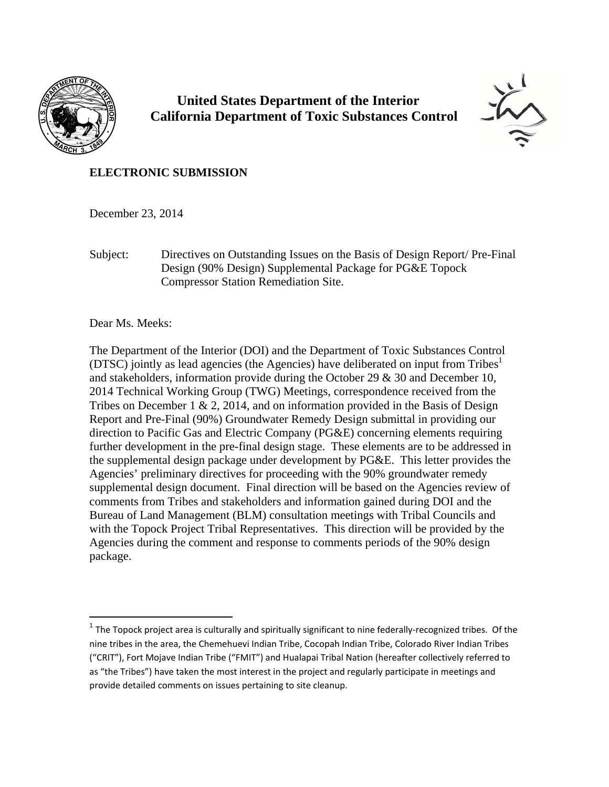

 **United States Department of the Interior California Department of Toxic Substances Control**



# **ELECTRONIC SUBMISSION**

December 23, 2014

Subject: Directives on Outstanding Issues on the Basis of Design Report/ Pre-Final Design (90% Design) Supplemental Package for PG&E Topock Compressor Station Remediation Site.

Dear Ms. Meeks:

The Department of the Interior (DOI) and the Department of Toxic Substances Control (DTSC) jointly as lead agencies (the Agencies) have deliberated on input from Tribes<sup>1</sup> and stakeholders, information provide during the October 29  $\&$  30 and December 10, 2014 Technical Working Group (TWG) Meetings, correspondence received from the Tribes on December 1 & 2, 2014, and on information provided in the Basis of Design Report and Pre-Final (90%) Groundwater Remedy Design submittal in providing our direction to Pacific Gas and Electric Company (PG&E) concerning elements requiring further development in the pre-final design stage. These elements are to be addressed in the supplemental design package under development by PG&E. This letter provides the Agencies' preliminary directives for proceeding with the 90% groundwater remedy supplemental design document. Final direction will be based on the Agencies review of comments from Tribes and stakeholders and information gained during DOI and the Bureau of Land Management (BLM) consultation meetings with Tribal Councils and with the Topock Project Tribal Representatives. This direction will be provided by the Agencies during the comment and response to comments periods of the 90% design package.

 $1$  The Topock project area is culturally and spiritually significant to nine federally-recognized tribes. Of the nine tribes in the area, the Chemehuevi Indian Tribe, Cocopah Indian Tribe, Colorado River Indian Tribes ("CRIT"), Fort Mojave Indian Tribe ("FMIT") and Hualapai Tribal Nation (hereafter collectively referred to as "the Tribes") have taken the most interest in the project and regularly participate in meetings and provide detailed comments on issues pertaining to site cleanup.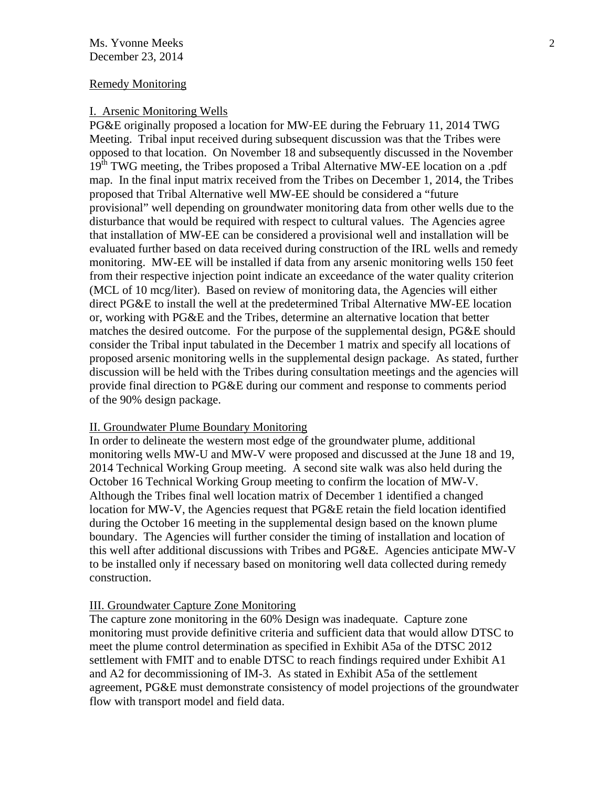#### Remedy Monitoring

## I. Arsenic Monitoring Wells

PG&E originally proposed a location for MW‐EE during the February 11, 2014 TWG Meeting. Tribal input received during subsequent discussion was that the Tribes were opposed to that location. On November 18 and subsequently discussed in the November 19<sup>th</sup> TWG meeting, the Tribes proposed a Tribal Alternative MW-EE location on a .pdf map. In the final input matrix received from the Tribes on December 1, 2014, the Tribes proposed that Tribal Alternative well MW-EE should be considered a "future provisional" well depending on groundwater monitoring data from other wells due to the disturbance that would be required with respect to cultural values. The Agencies agree that installation of MW-EE can be considered a provisional well and installation will be evaluated further based on data received during construction of the IRL wells and remedy monitoring. MW-EE will be installed if data from any arsenic monitoring wells 150 feet from their respective injection point indicate an exceedance of the water quality criterion (MCL of 10 mcg/liter). Based on review of monitoring data, the Agencies will either direct PG&E to install the well at the predetermined Tribal Alternative MW-EE location or, working with PG&E and the Tribes, determine an alternative location that better matches the desired outcome. For the purpose of the supplemental design, PG&E should consider the Tribal input tabulated in the December 1 matrix and specify all locations of proposed arsenic monitoring wells in the supplemental design package. As stated, further discussion will be held with the Tribes during consultation meetings and the agencies will provide final direction to PG&E during our comment and response to comments period of the 90% design package.

# II. Groundwater Plume Boundary Monitoring

In order to delineate the western most edge of the groundwater plume, additional monitoring wells MW-U and MW-V were proposed and discussed at the June 18 and 19, 2014 Technical Working Group meeting. A second site walk was also held during the October 16 Technical Working Group meeting to confirm the location of MW-V. Although the Tribes final well location matrix of December 1 identified a changed location for MW-V, the Agencies request that PG&E retain the field location identified during the October 16 meeting in the supplemental design based on the known plume boundary. The Agencies will further consider the timing of installation and location of this well after additional discussions with Tribes and PG&E. Agencies anticipate MW-V to be installed only if necessary based on monitoring well data collected during remedy construction.

## III. Groundwater Capture Zone Monitoring

The capture zone monitoring in the 60% Design was inadequate. Capture zone monitoring must provide definitive criteria and sufficient data that would allow DTSC to meet the plume control determination as specified in Exhibit A5a of the DTSC 2012 settlement with FMIT and to enable DTSC to reach findings required under Exhibit A1 and A2 for decommissioning of IM-3. As stated in Exhibit A5a of the settlement agreement, PG&E must demonstrate consistency of model projections of the groundwater flow with transport model and field data.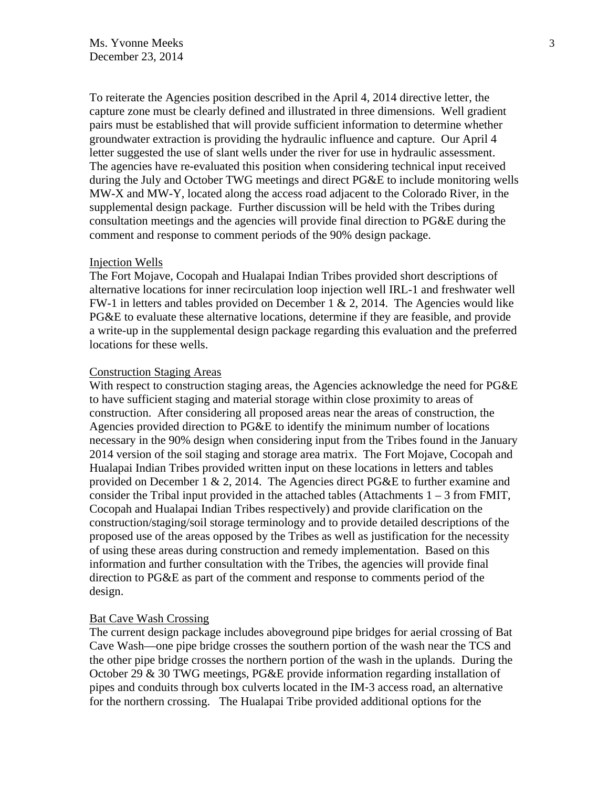To reiterate the Agencies position described in the April 4, 2014 directive letter, the capture zone must be clearly defined and illustrated in three dimensions. Well gradient pairs must be established that will provide sufficient information to determine whether groundwater extraction is providing the hydraulic influence and capture. Our April 4 letter suggested the use of slant wells under the river for use in hydraulic assessment. The agencies have re-evaluated this position when considering technical input received during the July and October TWG meetings and direct PG&E to include monitoring wells MW-X and MW-Y, located along the access road adjacent to the Colorado River, in the supplemental design package. Further discussion will be held with the Tribes during consultation meetings and the agencies will provide final direction to PG&E during the comment and response to comment periods of the 90% design package.

#### Injection Wells

The Fort Mojave, Cocopah and Hualapai Indian Tribes provided short descriptions of alternative locations for inner recirculation loop injection well IRL-1 and freshwater well FW-1 in letters and tables provided on December 1 & 2, 2014. The Agencies would like PG&E to evaluate these alternative locations, determine if they are feasible, and provide a write-up in the supplemental design package regarding this evaluation and the preferred locations for these wells.

## Construction Staging Areas

With respect to construction staging areas, the Agencies acknowledge the need for PG&E to have sufficient staging and material storage within close proximity to areas of construction. After considering all proposed areas near the areas of construction, the Agencies provided direction to PG&E to identify the minimum number of locations necessary in the 90% design when considering input from the Tribes found in the January 2014 version of the soil staging and storage area matrix. The Fort Mojave, Cocopah and Hualapai Indian Tribes provided written input on these locations in letters and tables provided on December 1 & 2, 2014. The Agencies direct PG&E to further examine and consider the Tribal input provided in the attached tables (Attachments  $1 - 3$  from FMIT, Cocopah and Hualapai Indian Tribes respectively) and provide clarification on the construction/staging/soil storage terminology and to provide detailed descriptions of the proposed use of the areas opposed by the Tribes as well as justification for the necessity of using these areas during construction and remedy implementation. Based on this information and further consultation with the Tribes, the agencies will provide final direction to PG&E as part of the comment and response to comments period of the design.

## Bat Cave Wash Crossing

The current design package includes aboveground pipe bridges for aerial crossing of Bat Cave Wash—one pipe bridge crosses the southern portion of the wash near the TCS and the other pipe bridge crosses the northern portion of the wash in the uplands. During the October 29 & 30 TWG meetings, PG&E provide information regarding installation of pipes and conduits through box culverts located in the IM‐3 access road, an alternative for the northern crossing. The Hualapai Tribe provided additional options for the